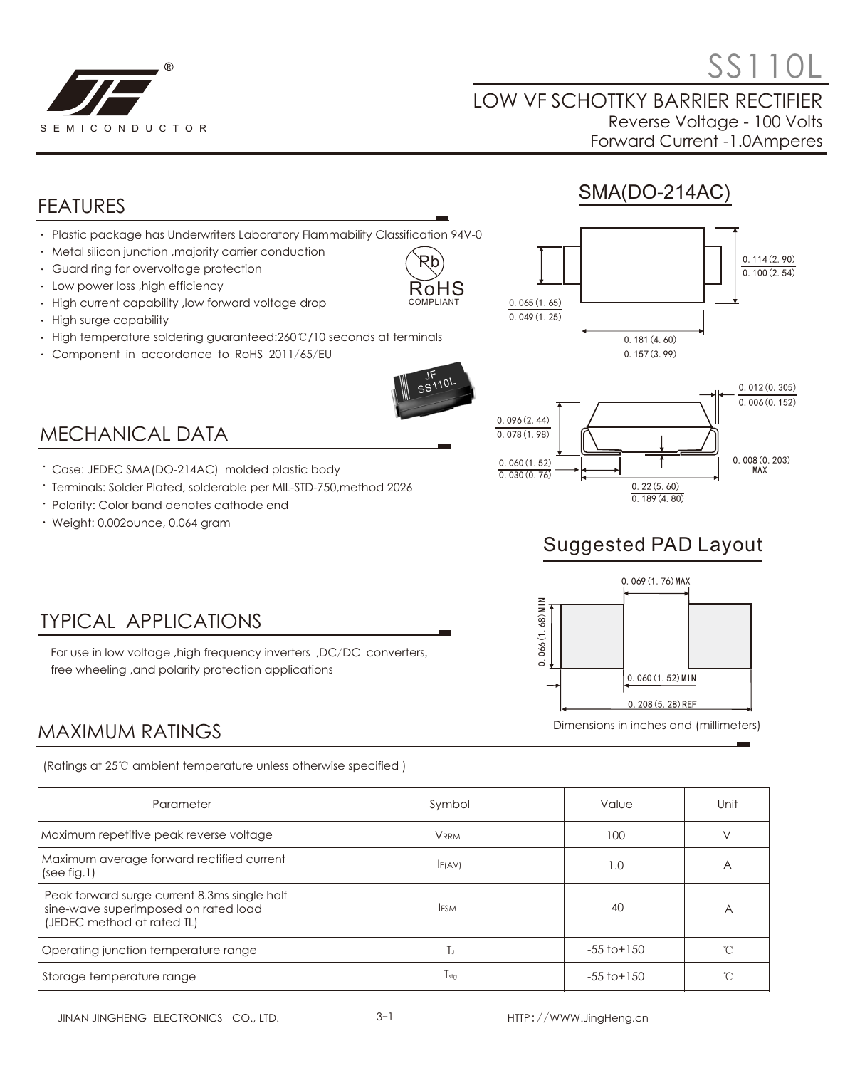

# $\mathcal{S}$  SS110L

#### LOW VF SCHOTTKY BARRIER RECTIFIER Reverse Voltage - 100 Volts Forward Current -1.0Amperes

SMA(DO-214AC)

### FEATURES

- Plastic package has Underwriters Laboratory Flammability Classification 94V-0
- Metal silicon junction ,majority carrier conduction
- Guard ring for overvoltage protection
- Low power loss ,high efficiency
- High current capability ,low forward voltage drop
- High surge capability
- High temperature soldering guaranteed:260℃/10 seconds at terminals
- Component in accordance to RoHS 2011/65/EU



Pb nHS

## MECHANICAL DATA

Case: JEDEC SMA(DO-214AC) molded plastic body

free wheeling ,and polarity protection applications

- Terminals: Solder Plated, solderable per MIL-STD-750,method 2026
- Polarity: Color band denotes cathode end

TYPICAL APPLICATIONS

Weight: 0.002ounce, 0.064 gram





## Suggested PAD Layout



# MAXIMUM RATINGS

(Ratings at 25℃ ambient temperature unless otherwise specified )

For use in low voltage ,high frequency inverters ,DC/DC converters,

| Parameter                                                                                                          | Symbol        | Value           | Unit |
|--------------------------------------------------------------------------------------------------------------------|---------------|-----------------|------|
| Maximum repetitive peak reverse voltage                                                                            | <b>VRRM</b>   | 100             |      |
| Maximum average forward rectified current<br>(see fig.1)                                                           | F(AV)         | 1.0             | A    |
| Peak forward surge current 8.3ms single half<br>sine-wave superimposed on rated load<br>(JEDEC method at rated TL) | <b>IFSM</b>   | 40              | А    |
| Operating junction temperature range                                                                               | IJ.           | $-55$ to $+150$ |      |
| Storage temperature range                                                                                          | $T_{\rm stg}$ | $-55$ to $+150$ |      |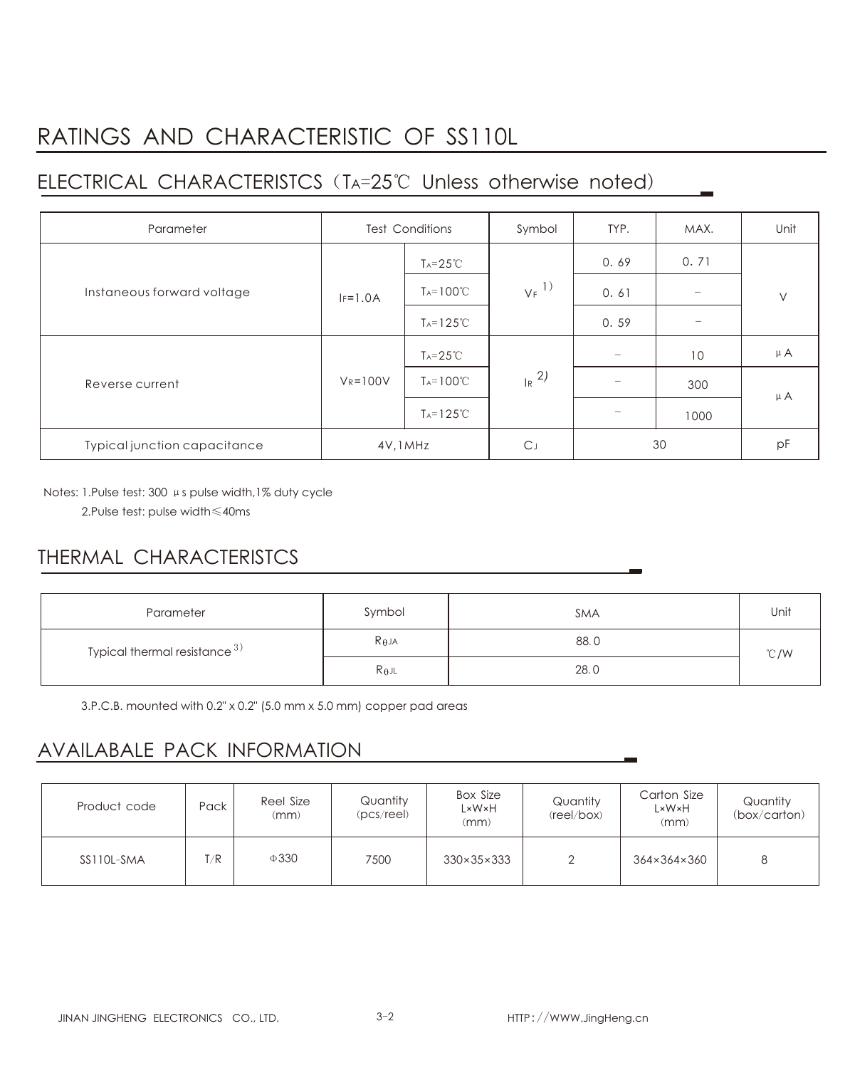## RATINGS AND CHARACTERISTIC OF SS110L

## ELECTRICAL CHARACTERISTCS (TA=25℃ Unless otherwise noted)

| Parameter                    | <b>Test Conditions</b> |                      | Symbol              | TYP.            | MAX.                     | Unit    |
|------------------------------|------------------------|----------------------|---------------------|-----------------|--------------------------|---------|
| Instaneous forward voltage   |                        | $Ta = 25^{\circ}C$   | $V_F$ <sup>1)</sup> | 0.69            | 0.71                     | $\vee$  |
|                              | $IF=1.0A$              | $T_A = 100^{\circ}C$ |                     | 0.61            |                          |         |
|                              |                        | $Ta=125^{\circ}C$    |                     | 0.59            | $\overline{\phantom{0}}$ |         |
| Reverse current              | $V_R = 100V$           | $Ta = 25^{\circ}C$   | $R^{2}$             | $-$             | 10                       | $\mu$ A |
|                              |                        | $T_A = 100^{\circ}C$ |                     | $\qquad \qquad$ | 300                      | $\mu$ A |
|                              |                        | $Ta=125^{\circ}C$    |                     |                 | 1000                     |         |
| Typical junction capacitance | 4V, 1MHz               |                      | $C_{J}$             | 30              |                          | pF      |

Notes: 1.Pulse test: 300 μs pulse width,1% duty cycle 2.Pulse test: pulse width≤40ms

### THERMAL CHARACTERISTCS

| Parameter                       | Symbol          | <b>SMA</b> | Unit |  |
|---------------------------------|-----------------|------------|------|--|
| Typical thermal resistance $3)$ | $R_{\theta}$ JA | 88.0       | °C/W |  |
|                                 | $R_{\theta}$ jl | 28.0       |      |  |

3.P.C.B. mounted with 0.2" x 0.2" (5.0 mm x 5.0 mm) copper pad areas

### AVAILABALE PACK INFORMATION

| Product code | Pack | Reel Size<br>(mm) | Quantity<br>(pcs/ree) | <b>Box Size</b><br>L×W×H<br>(mm) | Quantity<br>(reel/box) | Carton Size<br>L×W×H<br>(mm) | Quantity<br>(box/carton) |
|--------------|------|-------------------|-----------------------|----------------------------------|------------------------|------------------------------|--------------------------|
| SS110L-SMA   | T/R  | $\Phi$ 330        | 7500                  | $330\times35\times333$           |                        | 364×364×360                  | 8                        |